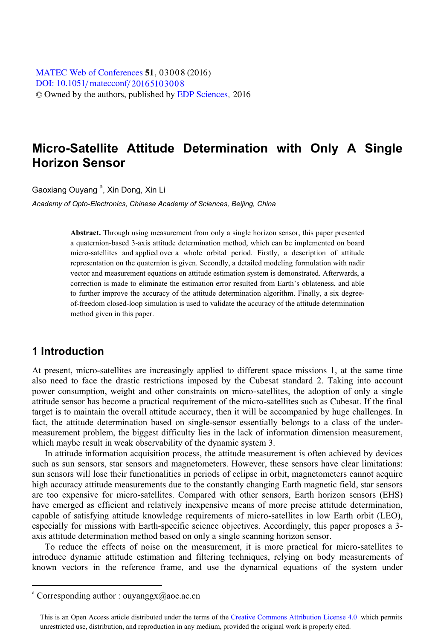[DOI: 10.1051](http://dx.doi.org/10.1051/matecconf/20165103008)/matecconf/20165103008 © Owned by the authors, published by [EDP Sciences](http://www.edpsciences.org), 2016 MATEC [Web of Conferences](http://www.matec-conferences.org) 51, 03008 (2016)

# **Micro-Satellite Attitude Determination with Only A Single Horizon Sensor**

Gaoxiang Ouyang<sup>a</sup>, Xin Dong, Xin Li

, Xin Dong, Xin Li *Academy of Opto-Electronics, Chinese Academy of Sciences, Beijing, China* 

**Abstract.** Through using measurement from only a single horizon sensor, this paper presented a quaternion-based 3-axis attitude determination method, which can be implemented on board micro-satellites and applied over a whole orbital period. Firstly, a description of attitude representation on the quaternion is given. Secondly, a detailed modeling formulation with nadir vector and measurement equations on attitude estimation system is demonstrated. Afterwards, a correction is made to eliminate the estimation error resulted from Earth's oblateness, and able to further improve the accuracy of the attitude determination algorithm. Finally, a six degreeof-freedom closed-loop simulation is used to validate the accuracy of the attitude determination method given in this paper.

# **1 Introduction**

 $\overline{a}$ 

At present, micro-satellites are increasingly applied to different space missions 1, at the same time also need to face the drastic restrictions imposed by the Cubesat standard 2. Taking into account power consumption, weight and other constraints on micro-satellites, the adoption of only a single attitude sensor has become a practical requirement of the micro-satellites such as Cubesat. If the final target is to maintain the overall attitude accuracy, then it will be accompanied by huge challenges. In fact, the attitude determination based on single-sensor essentially belongs to a class of the undermeasurement problem, the biggest difficulty lies in the lack of information dimension measurement, which maybe result in weak observability of the dynamic system 3.

In attitude information acquisition process, the attitude measurement is often achieved by devices such as sun sensors, star sensors and magnetometers. However, these sensors have clear limitations: sun sensors will lose their functionalities in periods of eclipse in orbit, magnetometers cannot acquire high accuracy attitude measurements due to the constantly changing Earth magnetic field, star sensors are too expensive for micro-satellites. Compared with other sensors, Earth horizon sensors (EHS) have emerged as efficient and relatively inexpensive means of more precise attitude determination, capable of satisfying attitude knowledge requirements of micro-satellites in low Earth orbit (LEO), especially for missions with Earth-specific science objectives. Accordingly, this paper proposes a 3 axis attitude determination method based on only a single scanning horizon sensor.

To reduce the effects of noise on the measurement, it is more practical for micro-satellites to introduce dynamic attitude estimation and filtering techniques, relying on body measurements of known vectors in the reference frame, and use the dynamical equations of the system under

<sup>&</sup>lt;sup>a</sup> Corresponding author : ouyanggx@aoe.ac.cn

This is an Open Access article distributed under the terms of the Creative Commons Attribution License 4.0, which permits unrestricted use, distribution, and reproduction in any medium, provided the original work is properly cited.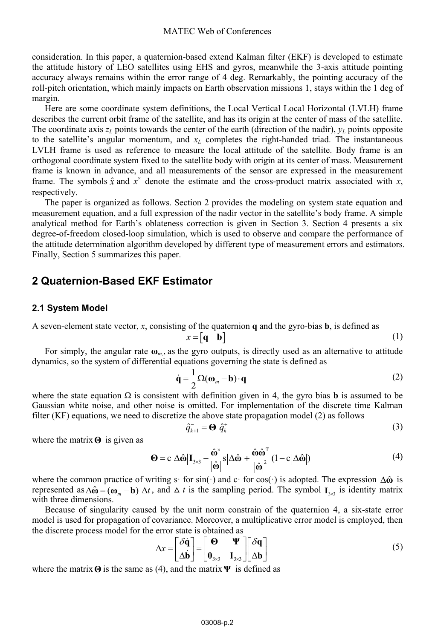consideration. In this paper, a quaternion-based extend Kalman filter (EKF) is developed to estimate the attitude history of LEO satellites using EHS and gyros, meanwhile the 3-axis attitude pointing accuracy always remains within the error range of 4 deg. Remarkably, the pointing accuracy of the roll-pitch orientation, which mainly impacts on Earth observation missions 1, stays within the 1 deg of margin.

Here are some coordinate system definitions, the Local Vertical Local Horizontal (LVLH) frame describes the current orbit frame of the satellite, and has its origin at the center of mass of the satellite. The coordinate axis  $z_L$  points towards the center of the earth (direction of the nadir),  $y_L$  points opposite to the satellite's angular momentum, and  $x_l$  completes the right-handed triad. The instantaneous LVLH frame is used as reference to measure the local attitude of the satellite. Body frame is an orthogonal coordinate system fixed to the satellite body with origin at its center of mass. Measurement frame is known in advance, and all measurements of the sensor are expressed in the measurement frame. The symbols  $\hat{x}$  and  $x^{\times}$  denote the estimate and the cross-product matrix associated with *x*, respectively.

The paper is organized as follows. Section 2 provides the modeling on system state equation and measurement equation, and a full expression of the nadir vector in the satellite's body frame. A simple analytical method for Earth's oblateness correction is given in Section 3. Section 4 presents a six degree-of-freedom closed-loop simulation, which is used to observe and compare the performance of the attitude determination algorithm developed by different type of measurement errors and estimators. Finally, Section 5 summarizes this paper.

# **2 Quaternion-Based EKF Estimator**

### **2.1 System Model**

A seven-element state vector, *x*, consisting of the quaternion **q** and the gyro-bias **b**, is defined as

$$
x = \begin{bmatrix} \mathbf{q} & \mathbf{b} \end{bmatrix} \tag{1}
$$

**For simply, the angular rate**  $\mathbf{\omega}_{m}$ **, as the gyro outputs, is directly used as an alternative to attitude** dynamics, so the system of differential equations governing the state is defined as

$$
\dot{\mathbf{q}} = \frac{1}{2} \Omega (\mathbf{\omega}_m - \mathbf{b}) \cdot \mathbf{q}
$$
 (2)

where the state equation  $\Omega$  is consistent with definition given in 4, the gyro bias **b** is assumed to be Gaussian white noise, and other noise is omitted. For implementation of the discrete time Kalman filter (KF) equations, we need to discretize the above state propagation model (2) as follows

$$
\hat{q}_{k+1}^- = \mathbf{\Theta} \; \hat{q}_k^+ \tag{3}
$$

where the matrix **Θ** is given as

$$
\mathbf{\Theta} = \mathbf{c} \left| \Delta \hat{\mathbf{\omega}} \right| \mathbf{I}_{3 \times 3} - \frac{\hat{\mathbf{\omega}}^{\times}}{\left| \hat{\mathbf{\omega}} \right|} \mathbf{s} \left| \Delta \hat{\mathbf{\omega}} \right| + \frac{\hat{\mathbf{\omega}} \hat{\mathbf{\omega}}^{\mathrm{T}}}{\left| \hat{\mathbf{\omega}} \right|^2} (1 - \mathbf{c} \left| \Delta \hat{\mathbf{\omega}} \right|) \tag{4}
$$

where the common practice of writing s· for sin(·) and c· for cos(·) is adopted. The expression Δ**ω**<sup>∂</sup> is represented as  $\Delta \hat{\omega} = (\omega_m - \mathbf{b}) \Delta t$ , and  $\Delta t$  is the sampling period. The symbol  $I_{3\times 3}$  is identity matrix with three dimensions. with three dimensions.

Because of singularity caused by the unit norm constrain of the quaternion 4, a six-state error model is used for propagation of covariance. Moreover, a multiplicative error model is employed, then the discrete process model for the error state is obtained as

$$
\Delta x = \begin{bmatrix} \delta \dot{\mathbf{q}} \\ \Delta \dot{\mathbf{b}} \end{bmatrix} = \begin{bmatrix} \mathbf{\Theta} & \mathbf{\Psi} \\ \mathbf{0}_{3 \times 3} & \mathbf{I}_{3 \times 3} \end{bmatrix} \begin{bmatrix} \delta \mathbf{q} \\ \Delta \mathbf{b} \end{bmatrix}
$$
 (5)

where the matrix **Θ** is the same as (4), and the matrix **Ψ** is defined as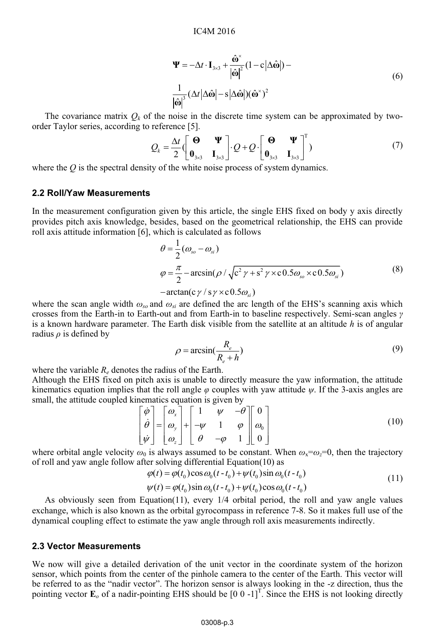$$
\Psi = -\Delta t \cdot \mathbf{I}_{3\times 3} + \frac{\hat{\omega}^*}{|\hat{\omega}|^2} (1 - c|\Delta \hat{\omega}|) -
$$
  

$$
\frac{1}{|\hat{\omega}|^3} (\Delta t |\Delta \hat{\omega}| - s|\Delta \hat{\omega}|) (\hat{\omega}^*)^2
$$
 (6)

The covariance matrix  $Q_k$  of the noise in the discrete time system can be approximated by twoorder Taylor series, according to reference [5].

$$
Q_{k} = \frac{\Delta t}{2} \begin{pmatrix} \mathbf{\Theta} & \mathbf{\Psi} \\ \mathbf{0}_{3\times 3} & \mathbf{I}_{3\times 3} \end{pmatrix} \cdot Q + Q \cdot \begin{bmatrix} \mathbf{\Theta} & \mathbf{\Psi} \\ \mathbf{0}_{3\times 3} & \mathbf{I}_{3\times 3} \end{bmatrix}^{T}
$$
 (7)

where the *Q* is the spectral density of the white noise process of system dynamics.

### **2.2 Roll/Yaw Measurements**

In the measurement configuration given by this article, the single EHS fixed on body y axis directly provides pitch axis knowledge, besides, based on the geometrical relationship, the EHS can provide roll axis attitude information [6], which is calculated as follows

$$
\theta = \frac{1}{2} (\omega_{so} - \omega_{si})
$$
\n
$$
\varphi = \frac{\pi}{2} - \arcsin(\rho / \sqrt{c^2 \gamma + s^2 \gamma \times c 0.5 \omega_{so} \times c 0.5 \omega_{si}})
$$
\n
$$
-\arctan(c\gamma / s\gamma \times c 0.5 \omega_{si})
$$
\n(8)

where the scan angle width  $\omega_{so}$  and  $\omega_{si}$  are defined the arc length of the EHS's scanning axis which crosses from the Earth-in to Earth-out and from Earth-in to baseline respectively. Semi-scan angles *γ*  is a known hardware parameter. The Earth disk visible from the satellite at an altitude *h* is of angular radius *ρ* is defined by

$$
\rho = \arcsin\left(\frac{R_e}{R_e + h}\right) \tag{9}
$$

where the variable  $R_e$  denotes the radius of the Earth.

Although the EHS fixed on pitch axis is unable to directly measure the yaw information, the attitude kinematics equation implies that the roll angle  $\varphi$  couples with yaw attitude  $\psi$ . If the 3-axis angles are small, the attitude coupled kinematics equation is given by

$$
\begin{bmatrix} \dot{\varphi} \\ \dot{\theta} \\ \dot{\psi} \end{bmatrix} = \begin{bmatrix} \omega_x \\ \omega_y \\ \omega_z \end{bmatrix} + \begin{bmatrix} 1 & \psi & -\theta \\ -\psi & 1 & \phi \\ \theta & -\varphi & 1 \end{bmatrix} \begin{bmatrix} 0 \\ \omega_0 \\ 0 \end{bmatrix}
$$
\n(10)

where orbital angle velocity  $\omega_0$  is always assumed to be constant. When  $\omega_x = \omega_z = 0$ , then the trajectory of roll and yaw angle follow after solving differential Equation(10) as

$$
\varphi(t) = \varphi(t_0) \cos \omega_0 (t - t_0) + \psi(t_0) \sin \omega_0 (t - t_0)
$$
  

$$
\psi(t) = \varphi(t_0) \sin \omega_0 (t - t_0) + \psi(t_0) \cos \omega_0 (t - t_0)
$$
 (11)

As obviously seen from Equation(11), every 1/4 orbital period, the roll and yaw angle values exchange, which is also known as the orbital gyrocompass in reference 7-8. So it makes full use of the dynamical coupling effect to estimate the yaw angle through roll axis measurements indirectly.

#### **2.3 Vector Measurements**

We now will give a detailed derivation of the unit vector in the coordinate system of the horizon sensor, which points from the center of the pinhole camera to the center of the Earth. This vector will be referred to as the "nadir vector". The horizon sensor is always looking in the -z direction, thus the pointing vector  $\mathbf{E}_o$  of a nadir-pointing EHS should be  $\begin{bmatrix} 0 & 0 & -1 \end{bmatrix}^T$ . Since the EHS is not looking directly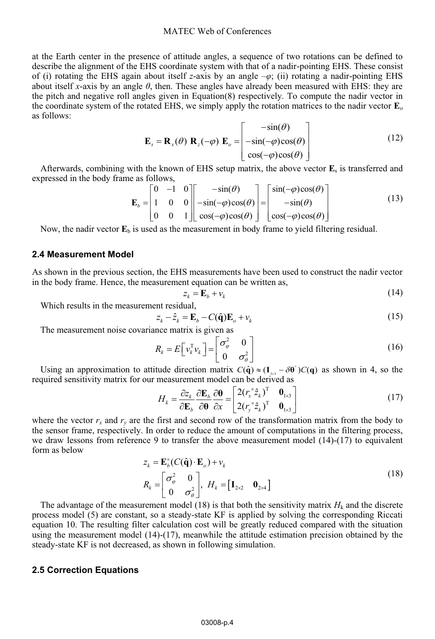#### MATEC Web of Conferences

at the Earth center in the presence of attitude angles, a sequence of two rotations can be defined to describe the alignment of the EHS coordinate system with that of a nadir-pointing EHS. These consist of (i) rotating the EHS again about itself *z*-axis by an angle –*φ*; (ii) rotating a nadir-pointing EHS about itself *x*-axis by an angle *θ*, then. These angles have already been measured with EHS: they are the pitch and negative roll angles given in Equation(8) respectively. To compute the nadir vector in the coordinate system of the rotated EHS, we simply apply the rotation matrices to the nadir vector **E***<sup>o</sup>* as follows:

$$
\mathbf{E}_s = \mathbf{R}_x(\theta) \mathbf{R}_z(-\varphi) \mathbf{E}_o = \begin{bmatrix} -\sin(\theta) \\ -\sin(-\varphi)\cos(\theta) \\ \cos(-\varphi)\cos(\theta) \end{bmatrix}
$$
(12)

Afterwards, combining with the known of EHS setup matrix, the above vector **E**s is transferred and expressed in the body frame as follows,

$$
\mathbf{E}_{b} = \begin{bmatrix} 0 & -1 & 0 \\ 1 & 0 & 0 \\ 0 & 0 & 1 \end{bmatrix} \begin{bmatrix} -\sin(\theta) \\ -\sin(-\varphi)\cos(\theta) \\ \cos(-\varphi)\cos(\theta) \end{bmatrix} = \begin{bmatrix} \sin(-\varphi)\cos(\theta) \\ -\sin(\theta) \\ \cos(-\varphi)\cos(\theta) \end{bmatrix}
$$
(13)

Now, the nadir vector  $\mathbf{E}_b$  is used as the measurement in body frame to yield filtering residual.

### **2.4 Measurement Model**

As shown in the previous section, the EHS measurements have been used to construct the nadir vector in the body frame. Hence, the measurement equation can be written as,

$$
z_k = \mathbf{E}_b + v_k \tag{14}
$$

Which results in the measurement residual,

$$
z_k - \hat{z}_k = \mathbf{E}_b - C(\hat{\mathbf{q}})\mathbf{E}_o + \nu_k
$$
 (15)

The measurement noise covariance matrix is given as

$$
R_k = E\left[\nu_k^{\mathrm{T}}\nu_k\right] = \begin{bmatrix} \sigma_{\varphi}^2 & 0\\ 0 & \sigma_{\theta}^2 \end{bmatrix}
$$
 (16)

Using an approximation to attitude direction matrix  $C(\hat{\mathbf{q}}) \approx (\mathbf{I}_{3\times 3} - \delta \mathbf{\theta}^*) C(\mathbf{q})$  as shown in 4, so the nuired sensitivity matrix for our measurement model can be derived as required sensitivity matrix for our measurement model can be derived as

$$
H_k = \frac{\partial z_k}{\partial \mathbf{E}_b} \frac{\partial \mathbf{E}_b}{\partial \mathbf{\theta}} = \begin{bmatrix} 2(r_x^* \hat{z}_k)^T & \mathbf{0}_{1 \times 3} \\ 2(r_y^* \hat{z}_k)^T & \mathbf{0}_{1 \times 3} \end{bmatrix}
$$
 (17)  
where the vector  $r_x$  and  $r_y$  are the first and second row of the transformation matrix from the body to

the sensor frame, respectively. In order to reduce the amount of computations in the filtering process, we draw lessons from reference 9 to transfer the above measurement model (14)-(17) to equivalent form as below

$$
z_{k} = \mathbf{E}_{b}^{x}(C(\hat{\mathbf{q}}) \cdot \mathbf{E}_{o}) + v_{k}
$$
  
\n
$$
R_{k} = \begin{bmatrix} \sigma_{\varphi}^{2} & 0 \\ 0 & \sigma_{\vartheta}^{2} \end{bmatrix}, H_{k} = \begin{bmatrix} \mathbf{I}_{2\times 2} & \mathbf{0}_{2\times 4} \end{bmatrix}
$$
\n(18)

The advantage of the measurement model (18) is that both the sensitivity matrix  $H<sub>k</sub>$  and the discrete process model (5) are constant, so a steady-state KF is applied by solving the corresponding Riccati equation 10. The resulting filter calculation cost will be greatly reduced compared with the situation using the measurement model (14)-(17), meanwhile the attitude estimation precision obtained by the steady-state KF is not decreased, as shown in following simulation.

#### **2.5 Correction Equations**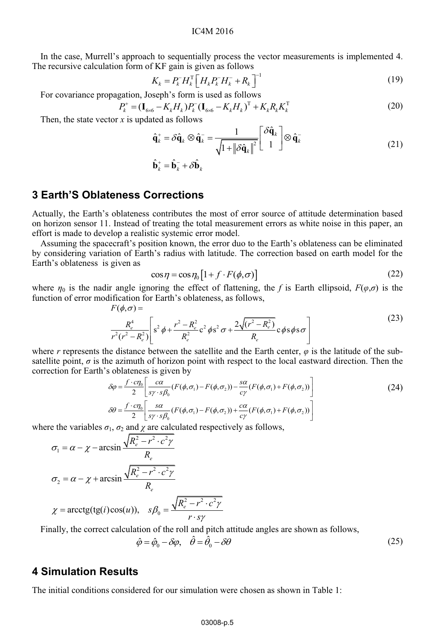### IC4M 2016

In the case, Murrell's approach to sequentially process the vector measurements is implemented 4. The recursive calculation form of KF gain is given as follows

$$
K_{k} = P_{k}^{-} H_{k}^{T} \left[ H_{k} P_{k}^{-} H_{k}^{-} + R_{k} \right]^{-1}
$$
\n(19)

For covariance propagation, Joseph's form is used as follows

$$
P_k^+ = (\mathbf{I}_{6\times6} - K_k H_k) P_k^-(\mathbf{I}_{6\times6} - K_k H_k)^T + K_k R_k K_k^T
$$
\n(20)

Then, the state vector  $x$  is updated as follows

$$
\hat{\mathbf{q}}_k^+ = \delta \hat{\mathbf{q}}_k \otimes \hat{\mathbf{q}}_k^- = \frac{1}{\sqrt{1 + ||\delta \hat{\mathbf{q}}_k||^2}} \begin{bmatrix} \delta \hat{\mathbf{q}}_k \\ 1 \end{bmatrix} \otimes \hat{\mathbf{q}}_k^- \tag{21}
$$

$$
\hat{\mathbf{b}}_k^+ = \hat{\mathbf{b}}_k^- + \delta \hat{\mathbf{b}}_k
$$

# **3 Earth'S Oblateness Corrections**

Actually, the Earth's oblateness contributes the most of error source of attitude determination based on horizon sensor 11. Instead of treating the total measurement errors as white noise in this paper, an effort is made to develop a realistic systemic error model.

Assuming the spacecraft's position known, the error duo to the Earth's oblateness can be eliminated by considering variation of Earth's radius with latitude. The correction based on earth model for the Earth's oblateness is given as

$$
\cos \eta = \cos \eta_0 \left[ 1 + f \cdot F(\phi, \sigma) \right] \tag{22}
$$

where  $\eta_0$  is the nadir angle ignoring the effect of flattening, the *f* is Earth ellipsoid,  $F(\varphi,\sigma)$  is the function of error modification for Earth's oblateness, as follows,

$$
F(\phi,\sigma) =
$$
  
\n
$$
\frac{R_e^4}{r^2(r^2 - R_e^2)} \left[ s^2 \phi + \frac{r^2 - R_e^2}{R_e^2} c^2 \phi s^2 \sigma + \frac{2\sqrt{(r^2 - R_e^2)}}{R_e} c \phi s \phi s \sigma \right]
$$
\n(23)

where *r* represents the distance between the satellite and the Earth center, *φ* is the latitude of the subsatellite point,  $\sigma$  is the azimuth of horizon point with respect to the local eastward direction. Then the correction for Earth's oblateness is given by

$$
\delta \varphi = \frac{f \cdot c \eta_0}{2} \left[ \frac{c \alpha}{s \gamma \cdot s \beta_0} (F(\phi, \sigma_1) - F(\phi, \sigma_2)) - \frac{s \alpha}{c \gamma} (F(\phi, \sigma_1) + F(\phi, \sigma_2)) \right]
$$
\n
$$
\delta \theta = \frac{f \cdot c \eta_0}{2} \left[ \frac{s \alpha}{s \gamma \cdot s \beta_0} (F(\phi, \sigma_1) - F(\phi, \sigma_2)) + \frac{c \alpha}{c \gamma} (F(\phi, \sigma_1) + F(\phi, \sigma_2)) \right]
$$
\n(24)

where the variables  $\sigma_1$ ,  $\sigma_2$  and  $\chi$  are calculated respectively as follows,

$$
\sigma_1 = \alpha - \chi - \arcsin \frac{\sqrt{R_e^2 - r^2 \cdot c^2 \gamma}}{R_e}
$$
  

$$
\sigma_2 = \alpha - \chi + \arcsin \frac{\sqrt{R_e^2 - r^2 \cdot c^2 \gamma}}{R_e}
$$
  

$$
\chi = \arctg(tg(i)\cos(u)), \quad s\beta_0 = \frac{\sqrt{R_e^2 - r^2 \cdot c^2 \gamma}}{r \cdot s\gamma}
$$

Finally, the correct calculation of the roll and pitch attitude angles are shown as follows,

$$
\hat{\varphi} = \hat{\varphi}_0 - \delta \varphi, \quad \hat{\theta} = \hat{\theta}_0 - \delta \theta \tag{25}
$$

# **4 Simulation Results**

The initial conditions considered for our simulation were chosen as shown in Table 1: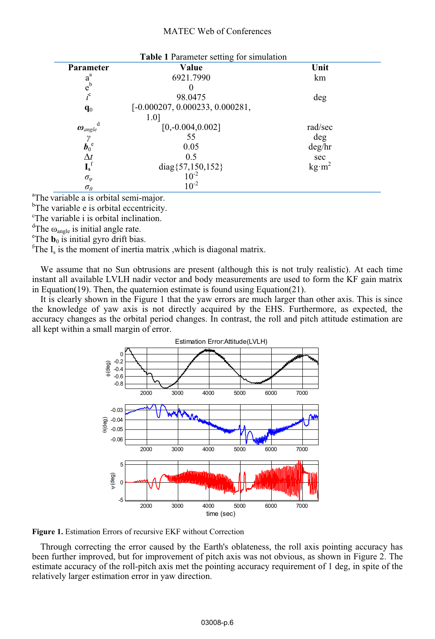#### MATEC Web of Conferences

| Table 1 Parameter setting for simulation   |                                   |                              |
|--------------------------------------------|-----------------------------------|------------------------------|
| <b>Parameter</b>                           | Value                             | Unit                         |
| $a^a$                                      | 6921.7990                         | km                           |
| $e^{b}$                                    |                                   |                              |
| $i^c$                                      | 98.0475                           | deg                          |
| $q_0$                                      | $[-0.000207, 0.000233, 0.000281,$ |                              |
|                                            | 1.0]                              |                              |
| d<br>$\boldsymbol{\omega}_{angle}$         | $[0,-0.004,0.002]$                | rad/sec                      |
|                                            | 55                                | deg                          |
| $\vec{b}_0^e$                              | 0.05                              | deg/hr                       |
|                                            | 0.5                               | sec                          |
| $\frac{\Delta t}{\mathbf{I_s}^{\text{f}}}$ | diag ${57,150,152}$<br>$10^{-2}$  | $\text{kg} \cdot \text{m}^2$ |
| $\sigma_{\varphi}$                         |                                   |                              |
| $\sigma_{\theta}$                          | $10^{-2}$                         |                              |

<sup>a</sup>The variable a is orbital semi-major.

<sup>b</sup>The variable e is orbital eccentricity.

c The variable i is orbital inclination.

<sup>d</sup>The  $\omega_{angle}$  is initial angle rate.

<sup>e</sup>The  $\mathbf{b}_0$  is initial gyro drift bias.

<sup>f</sup>The  $I_s$  is the moment of inertia matrix, which is diagonal matrix.

We assume that no Sun obtrusions are present (although this is not truly realistic). At each time instant all available LVLH nadir vector and body measurements are used to form the KF gain matrix in Equation(19). Then, the quaternion estimate is found using Equation(21).

It is clearly shown in the Figure 1 that the yaw errors are much larger than other axis. This is since the knowledge of yaw axis is not directly acquired by the EHS. Furthermore, as expected, the accuracy changes as the orbital period changes. In contrast, the roll and pitch attitude estimation are all kept within a small margin of error.



**Figure 1.** Estimation Errors of recursive EKF without Correction

Through correcting the error caused by the Earth's oblateness, the roll axis pointing accuracy has been further improved, but for improvement of pitch axis was not obvious, as shown in Figure 2. The estimate accuracy of the roll-pitch axis met the pointing accuracy requirement of 1 deg, in spite of the relatively larger estimation error in yaw direction.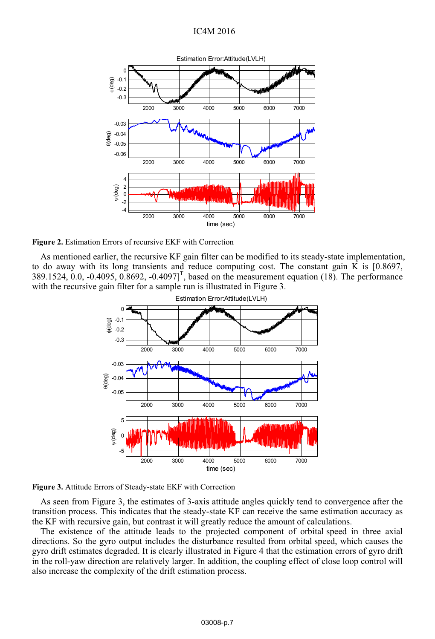## IC4M 2016



**Figure 2.** Estimation Errors of recursive EKF with Correction

As mentioned earlier, the recursive KF gain filter can be modified to its steady-state implementation, to do away with its long transients and reduce computing cost. The constant gain K is [0.8697, 389.1524, 0.0, -0.4095, 0.8692, -0.4097]<sup>T</sup>, based on the measurement equation (18). The performance with the recursive gain filter for a sample run is illustrated in Figure 3.





As seen from Figure 3, the estimates of 3-axis attitude angles quickly tend to convergence after the transition process. This indicates that the steady-state KF can receive the same estimation accuracy as the KF with recursive gain, but contrast it will greatly reduce the amount of calculations.

The existence of the attitude leads to the projected component of orbital speed in three axial directions. So the gyro output includes the disturbance resulted from orbital speed, which causes the gyro drift estimates degraded. It is clearly illustrated in Figure 4 that the estimation errors of gyro drift in the roll-yaw direction are relatively larger. In addition, the coupling effect of close loop control will also increase the complexity of the drift estimation process.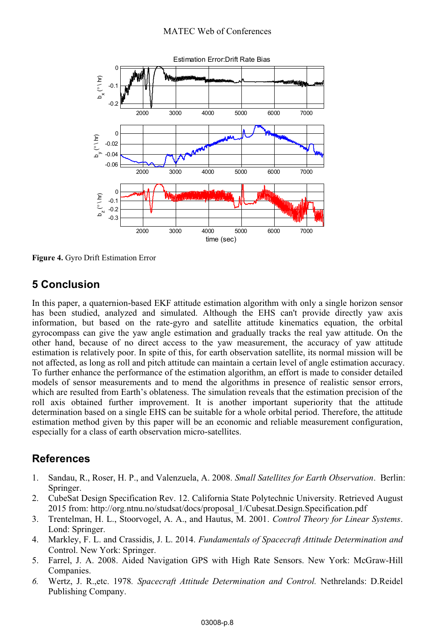

**Figure 4.** Gyro Drift Estimation Error

# **5 Conclusion**

In this paper, a quaternion-based EKF attitude estimation algorithm with only a single horizon sensor has been studied, analyzed and simulated. Although the EHS can't provide directly yaw axis information, but based on the rate-gyro and satellite attitude kinematics equation, the orbital gyrocompass can give the yaw angle estimation and gradually tracks the real yaw attitude. On the other hand, because of no direct access to the yaw measurement, the accuracy of yaw attitude estimation is relatively poor. In spite of this, for earth observation satellite, its normal mission will be not affected, as long as roll and pitch attitude can maintain a certain level of angle estimation accuracy. To further enhance the performance of the estimation algorithm, an effort is made to consider detailed models of sensor measurements and to mend the algorithms in presence of realistic sensor errors, which are resulted from Earth's oblateness. The simulation reveals that the estimation precision of the roll axis obtained further improvement. It is another important superiority that the attitude determination based on a single EHS can be suitable for a whole orbital period. Therefore, the attitude estimation method given by this paper will be an economic and reliable measurement configuration, especially for a class of earth observation micro-satellites.

# **References**

- 1. Sandau, R., Roser, H. P., and Valenzuela, A. 2008. *Small Satellites for Earth Observation*. Berlin: Springer.
- 2. CubeSat Design Specification Rev. 12. California State Polytechnic University. Retrieved August 2015 from: http://org.ntnu.no/studsat/docs/proposal\_1/Cubesat.Design.Specification.pdf
- 3. Trentelman, H. L., Stoorvogel, A. A., and Hautus, M. 2001. *Control Theory for Linear Systems*. Lond: Springer.
- 4. Markley, F. L. and Crassidis, J. L. 2014. *Fundamentals of Spacecraft Attitude Determination and*  Control. New York: Springer.
- 5. Farrel, J. A. 2008. Aided Navigation GPS with High Rate Sensors. New York: McGraw-Hill Companies.
- *6.* Wertz, J. R.,etc. 1978*. Spacecraft Attitude Determination and Control.* Nethrelands: D.Reidel Publishing Company.